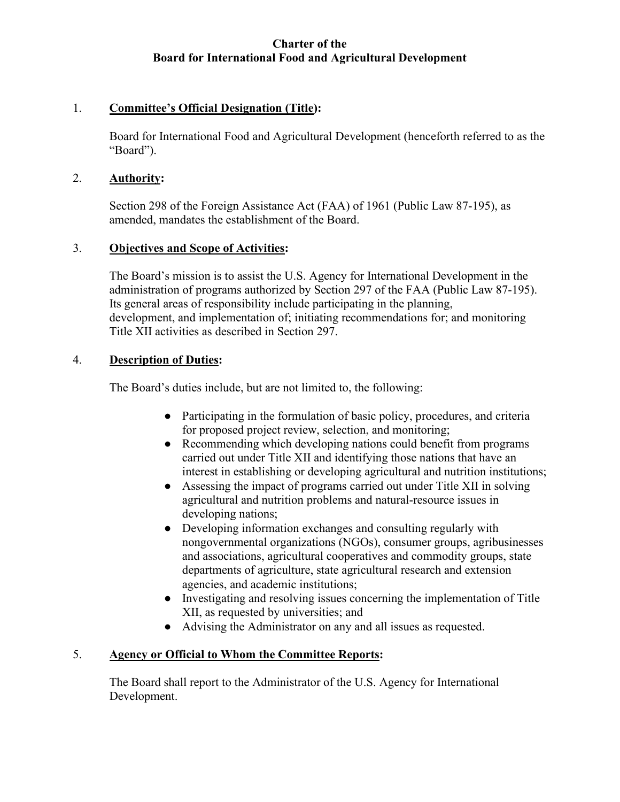# **Charter of the Board for International Food and Agricultural Development**

# 1. **Committee's Official Designation (Title):**

Board for International Food and Agricultural Development (henceforth referred to as the "Board").

#### 2. **Authority:**

Section 298 of the Foreign Assistance Act (FAA) of 1961 (Public Law 87-195), as amended, mandates the establishment of the Board.

### 3. **Objectives and Scope of Activities:**

The Board's mission is to assist the U.S. Agency for International Development in the administration of programs authorized by Section 297 of the FAA (Public Law 87-195). Its general areas of responsibility include participating in the planning, development, and implementation of; initiating recommendations for; and monitoring Title XII activities as described in Section 297.

### 4. **Description of Duties:**

The Board's duties include, but are not limited to, the following:

- Participating in the formulation of basic policy, procedures, and criteria for proposed project review, selection, and monitoring;
- Recommending which developing nations could benefit from programs carried out under Title XII and identifying those nations that have an interest in establishing or developing agricultural and nutrition institutions;
- Assessing the impact of programs carried out under Title XII in solving agricultural and nutrition problems and natural-resource issues in developing nations;
- Developing information exchanges and consulting regularly with nongovernmental organizations (NGOs), consumer groups, agribusinesses and associations, agricultural cooperatives and commodity groups, state departments of agriculture, state agricultural research and extension agencies, and academic institutions;
- Investigating and resolving issues concerning the implementation of Title XII, as requested by universities; and
- Advising the Administrator on any and all issues as requested.

# 5. **Agency or Official to Whom the Committee Reports:**

The Board shall report to the Administrator of the U.S. Agency for International Development.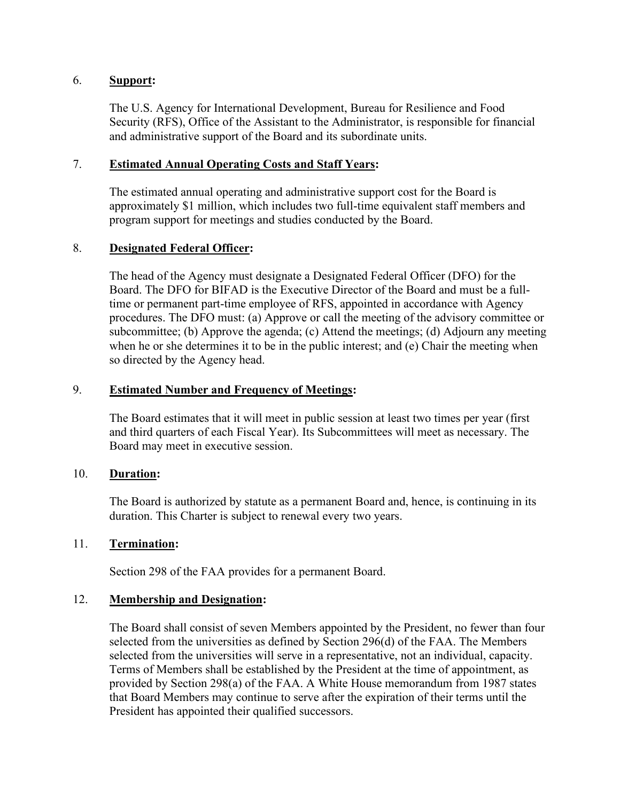### 6. **Support:**

The U.S. Agency for International Development, Bureau for Resilience and Food Security (RFS), Office of the Assistant to the Administrator, is responsible for financial and administrative support of the Board and its subordinate units.

### 7. **Estimated Annual Operating Costs and Staff Years:**

The estimated annual operating and administrative support cost for the Board is approximately \$1 million, which includes two full-time equivalent staff members and program support for meetings and studies conducted by the Board.

# 8. **Designated Federal Officer:**

 when he or she determines it to be in the public interest; and (e) Chair the meeting when so directed by the Agency head. The head of the Agency must designate a Designated Federal Officer (DFO) for the Board. The DFO for BIFAD is the Executive Director of the Board and must be a fulltime or permanent part-time employee of RFS, appointed in accordance with Agency procedures. The DFO must: (a) Approve or call the meeting of the advisory committee or subcommittee; (b) Approve the agenda; (c) Attend the meetings; (d) Adjourn any meeting

### 9. **Estimated Number and Frequency of Meetings:**

The Board estimates that it will meet in public session at least two times per year (first and third quarters of each Fiscal Year). Its Subcommittees will meet as necessary. The Board may meet in executive session.

### 10. **Duration:**

The Board is authorized by statute as a permanent Board and, hence, is continuing in its duration. This Charter is subject to renewal every two years.

### 11. **Termination:**

Section 298 of the FAA provides for a permanent Board.

### 12. **Membership and Designation:**

The Board shall consist of seven Members appointed by the President, no fewer than four Terms of Members shall be established by the President at the time of appointment, as Terms of Members shall be established by the President at the time of appointment, as provided by Section 298(a) of the FAA. A White House memorandum from 1987 states President has appointed their qualified successors. The Board shall consist of seven Members appointed by the President, no fewer than four selected from the universities as defined by Section 296(d) of the FAA. The Members selected from the universities will serve in a rep that Board Members may continue to serve after the expiration of their terms until the